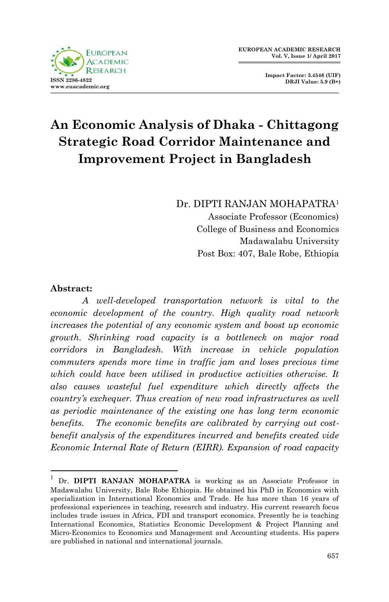

**Impact Factor: 3.4546 (UIF) DRJI Value: 5.9 (B+)**

# **An Economic Analysis of Dhaka - Chittagong Strategic Road Corridor Maintenance and Improvement Project in Bangladesh**

Dr. DIPTI RANJAN MOHAPATRA<sup>1</sup>

Associate Professor (Economics) College of Business and Economics Madawalabu University Post Box: 407, Bale Robe, Ethiopia

### **Abstract:**

1

*A well-developed transportation network is vital to the economic development of the country. High quality road network increases the potential of any economic system and boost up economic growth. Shrinking road capacity is a bottleneck on major road corridors in Bangladesh. With increase in vehicle population commuters spends more time in traffic jam and loses precious time which could have been utilised in productive activities otherwise. It also causes wasteful fuel expenditure which directly affects the country's exchequer. Thus creation of new road infrastructures as well as periodic maintenance of the existing one has long term economic benefits. The economic benefits are calibrated by carrying out costbenefit analysis of the expenditures incurred and benefits created vide Economic Internal Rate of Return (EIRR). Expansion of road capacity* 

Dr. DIPTI RANJAN MOHAPATRA is working as an Associate Professor in Madawalabu University, Bale Robe Ethiopia. He obtained his PhD in Economics with specialization in International Economics and Trade. He has more than 16 years of professional experiences in teaching, research and industry. His current research focus includes trade issues in Africa, FDI and transport economics. Presently he is teaching International Economics, Statistics Economic Development & Project Planning and Micro-Economics to Economics and Management and Accounting students. His papers are published in national and international journals.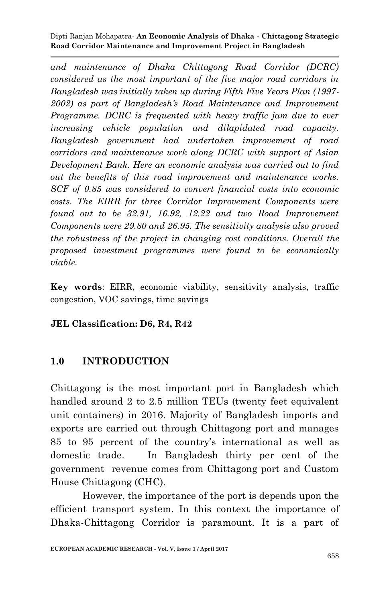*and maintenance of Dhaka Chittagong Road Corridor (DCRC) considered as the most important of the five major road corridors in Bangladesh was initially taken up during Fifth Five Years Plan (1997- 2002) as part of Bangladesh's Road Maintenance and Improvement Programme. DCRC is frequented with heavy traffic jam due to ever increasing vehicle population and dilapidated road capacity. Bangladesh government had undertaken improvement of road corridors and maintenance work along DCRC with support of Asian Development Bank. Here an economic analysis was carried out to find out the benefits of this road improvement and maintenance works. SCF of 0.85 was considered to convert financial costs into economic costs. The EIRR for three Corridor Improvement Components were found out to be 32.91, 16.92, 12.22 and two Road Improvement Components were 29.80 and 26.95. The sensitivity analysis also proved the robustness of the project in changing cost conditions. Overall the proposed investment programmes were found to be economically viable.*

**Key words**: EIRR, economic viability, sensitivity analysis, traffic congestion, VOC savings, time savings

**JEL Classification: D6, R4, R42**

## **1.0 INTRODUCTION**

Chittagong is the most important port in Bangladesh which handled around 2 to 2.5 million TEUs (twenty feet equivalent unit containers) in 2016. Majority of Bangladesh imports and exports are carried out through Chittagong port and manages 85 to 95 percent of the country's international as well as domestic trade. In Bangladesh thirty per cent of the government revenue comes from Chittagong port and Custom House Chittagong (CHC).

However, the importance of the port is depends upon the efficient transport system. In this context the importance of Dhaka-Chittagong Corridor is paramount. It is a part of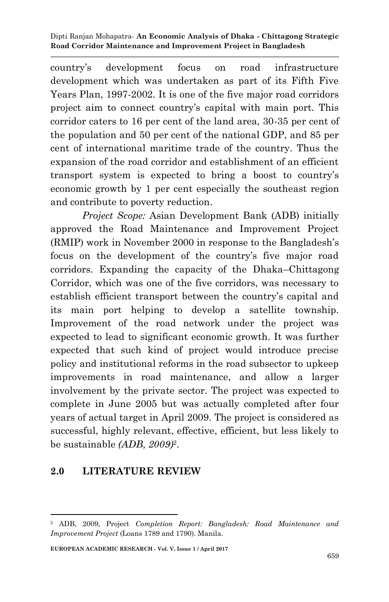country's development focus on road infrastructure development which was undertaken as part of its Fifth Five Years Plan, 1997-2002. It is one of the five major road corridors project aim to connect country's capital with main port. This corridor caters to 16 per cent of the land area, 30-35 per cent of the population and 50 per cent of the national GDP, and 85 per cent of international maritime trade of the country. Thus the expansion of the road corridor and establishment of an efficient transport system is expected to bring a boost to country's economic growth by 1 per cent especially the southeast region and contribute to poverty reduction.

*Project Scope:* Asian Development Bank (ADB) initially approved the Road Maintenance and Improvement Project (RMIP) work in November 2000 in response to the Bangladesh's focus on the development of the country's five major road corridors. Expanding the capacity of the Dhaka–Chittagong Corridor, which was one of the five corridors, was necessary to establish efficient transport between the country's capital and its main port helping to develop a satellite township. Improvement of the road network under the project was expected to lead to significant economic growth. It was further expected that such kind of project would introduce precise policy and institutional reforms in the road subsector to upkeep improvements in road maintenance, and allow a larger involvement by the private sector. The project was expected to complete in June 2005 but was actually completed after four years of actual target in April 2009. The project is considered as successful, highly relevant, effective, efficient, but less likely to be sustainable *(ADB, 2009)*<sup>2</sup> .

## **2.0 LITERATURE REVIEW**

<sup>1</sup> <sup>2</sup> ADB, 2009, Project *Completion Report: Bangladesh: Road Maintenance and Improvement Project* (Loans 1789 and 1790). Manila.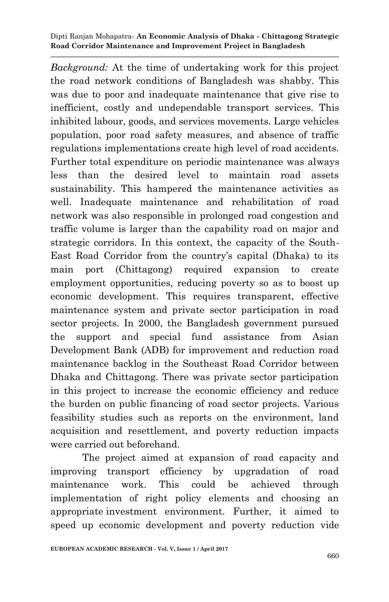*Background:* At the time of undertaking work for this project the road network conditions of Bangladesh was shabby. This was due to poor and inadequate maintenance that give rise to inefficient, costly and undependable transport services. This inhibited labour, goods, and services movements. Large vehicles population, poor road safety measures, and absence of traffic regulations implementations create high level of road accidents. Further total expenditure on periodic maintenance was always less than the desired level to maintain road assets sustainability. This hampered the maintenance activities as well. Inadequate maintenance and rehabilitation of road network was also responsible in prolonged road congestion and traffic volume is larger than the capability road on major and strategic corridors. In this context, the capacity of the South-East Road Corridor from the country's capital (Dhaka) to its main port (Chittagong) required expansion to create employment opportunities, reducing poverty so as to boost up economic development. This requires transparent, effective maintenance system and private sector participation in road sector projects. In 2000, the Bangladesh government pursued the support and special fund assistance from Asian Development Bank (ADB) for improvement and reduction road maintenance backlog in the Southeast Road Corridor between Dhaka and Chittagong. There was private sector participation in this project to increase the economic efficiency and reduce the burden on public financing of road sector projects. Various feasibility studies such as reports on the environment, land acquisition and resettlement, and poverty reduction impacts were carried out beforehand.

The project aimed at expansion of road capacity and improving transport efficiency by upgradation of road maintenance work. This could be achieved through implementation of right policy elements and choosing an appropriate investment environment. Further, it aimed to speed up economic development and poverty reduction vide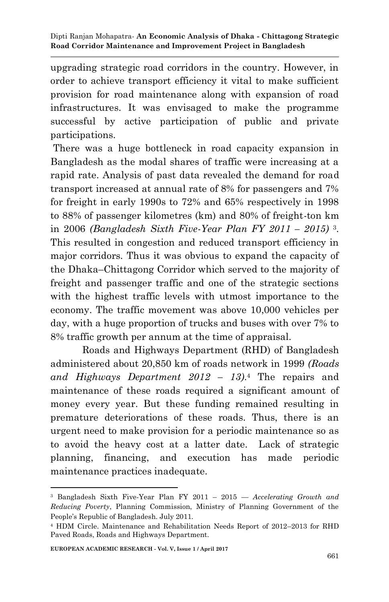upgrading strategic road corridors in the country. However, in order to achieve transport efficiency it vital to make sufficient provision for road maintenance along with expansion of road infrastructures. It was envisaged to make the programme successful by active participation of public and private participations.

There was a huge bottleneck in road capacity expansion in Bangladesh as the modal shares of traffic were increasing at a rapid rate. Analysis of past data revealed the demand for road transport increased at annual rate of 8% for passengers and 7% for freight in early 1990s to 72% and 65% respectively in 1998 to 88% of passenger kilometres (km) and 80% of freight-ton km in 2006 *(Bangladesh Sixth Five-Year Plan FY 2011 – 2015)* <sup>3</sup> . This resulted in congestion and reduced transport efficiency in major corridors. Thus it was obvious to expand the capacity of the Dhaka–Chittagong Corridor which served to the majority of freight and passenger traffic and one of the strategic sections with the highest traffic levels with utmost importance to the economy. The traffic movement was above 10,000 vehicles per day, with a huge proportion of trucks and buses with over 7% to 8% traffic growth per annum at the time of appraisal.

Roads and Highways Department (RHD) of Bangladesh administered about 20,850 km of roads network in 1999 *(Roads and Highways Department 2012 – 13)*. <sup>4</sup> The repairs and maintenance of these roads required a significant amount of money every year. But these funding remained resulting in premature deteriorations of these roads. Thus, there is an urgent need to make provision for a periodic maintenance so as to avoid the heavy cost at a latter date. Lack of strategic planning, financing, and execution has made periodic maintenance practices inadequate.

1

<sup>3</sup> Bangladesh Sixth Five-Year Plan FY 2011 – 2015 — *Accelerating Growth and Reducing Poverty*, Planning Commission, Ministry of Planning Government of the People's Republic of Bangladesh. July 2011.

<sup>4</sup> HDM Circle. Maintenance and Rehabilitation Needs Report of 2012–2013 for RHD Paved Roads, Roads and Highways Department.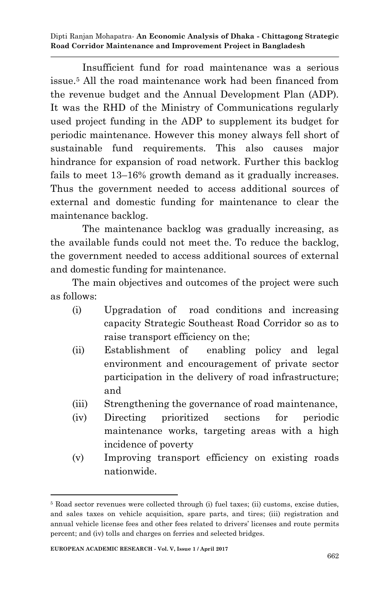Insufficient fund for road maintenance was a serious issue.<sup>5</sup> All the road maintenance work had been financed from the revenue budget and the Annual Development Plan (ADP). It was the RHD of the Ministry of Communications regularly used project funding in the ADP to supplement its budget for periodic maintenance. However this money always fell short of sustainable fund requirements. This also causes major hindrance for expansion of road network. Further this backlog fails to meet 13–16% growth demand as it gradually increases. Thus the government needed to access additional sources of external and domestic funding for maintenance to clear the maintenance backlog.

The maintenance backlog was gradually increasing, as the available funds could not meet the. To reduce the backlog, the government needed to access additional sources of external and domestic funding for maintenance.

The main objectives and outcomes of the project were such as follows:

- (i) Upgradation of road conditions and increasing capacity Strategic Southeast Road Corridor so as to raise transport efficiency on the;
- (ii) Establishment of enabling policy and legal environment and encouragement of private sector participation in the delivery of road infrastructure; and
- (iii) Strengthening the governance of road maintenance,
- (iv) Directing prioritized sections for periodic maintenance works, targeting areas with a high incidence of poverty
- (v) Improving transport efficiency on existing roads nationwide.

<sup>1</sup> <sup>5</sup> Road sector revenues were collected through (i) fuel taxes; (ii) customs, excise duties, and sales taxes on vehicle acquisition, spare parts, and tires; (iii) registration and annual vehicle license fees and other fees related to drivers' licenses and route permits percent; and (iv) tolls and charges on ferries and selected bridges.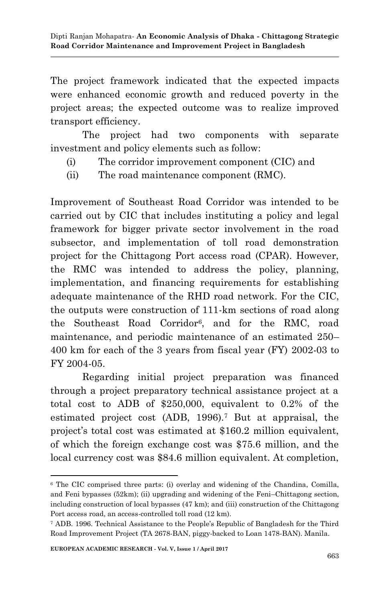The project framework indicated that the expected impacts were enhanced economic growth and reduced poverty in the project areas; the expected outcome was to realize improved transport efficiency.

The project had two components with separate investment and policy elements such as follow:

- (i) The corridor improvement component (CIC) and
- (ii) The road maintenance component (RMC).

Improvement of Southeast Road Corridor was intended to be carried out by CIC that includes instituting a policy and legal framework for bigger private sector involvement in the road subsector, and implementation of toll road demonstration project for the Chittagong Port access road (CPAR). However, the RMC was intended to address the policy, planning, implementation, and financing requirements for establishing adequate maintenance of the RHD road network. For the CIC, the outputs were construction of 111-km sections of road along the Southeast Road Corridor<sup>6</sup> , and for the RMC, road maintenance, and periodic maintenance of an estimated 250– 400 km for each of the 3 years from fiscal year (FY) 2002-03 to FY 2004-05.

Regarding initial project preparation was financed through a project preparatory technical assistance project at a total cost to ADB of \$250,000, equivalent to 0.2% of the estimated project cost (ADB, 1996).<sup>7</sup> But at appraisal, the project's total cost was estimated at \$160.2 million equivalent, of which the foreign exchange cost was \$75.6 million, and the local currency cost was \$84.6 million equivalent. At completion,

1

<sup>6</sup> The CIC comprised three parts: (i) overlay and widening of the Chandina, Comilla, and Feni bypasses (52km); (ii) upgrading and widening of the Feni–Chittagong section, including construction of local bypasses (47 km); and (iii) construction of the Chittagong Port access road, an access-controlled toll road (12 km).

<sup>7</sup> ADB. 1996. Technical Assistance to the People's Republic of Bangladesh for the Third Road Improvement Project (TA 2678-BAN, piggy-backed to Loan 1478-BAN). Manila.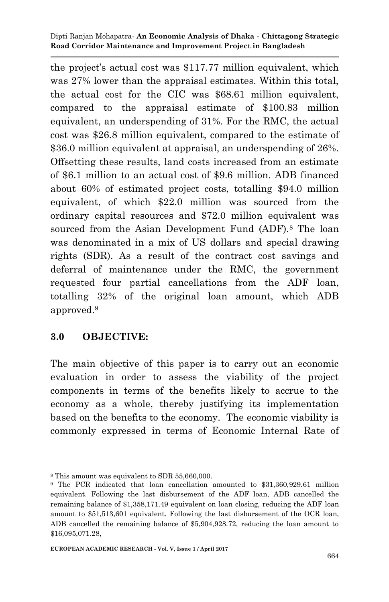the project's actual cost was \$117.77 million equivalent, which was 27% lower than the appraisal estimates. Within this total, the actual cost for the CIC was \$68.61 million equivalent, compared to the appraisal estimate of \$100.83 million equivalent, an underspending of 31%. For the RMC, the actual cost was \$26.8 million equivalent, compared to the estimate of \$36.0 million equivalent at appraisal, an underspending of 26%. Offsetting these results, land costs increased from an estimate of \$6.1 million to an actual cost of \$9.6 million. ADB financed about 60% of estimated project costs, totalling \$94.0 million equivalent, of which \$22.0 million was sourced from the ordinary capital resources and \$72.0 million equivalent was sourced from the Asian Development Fund (ADF).<sup>8</sup> The loan was denominated in a mix of US dollars and special drawing rights (SDR). As a result of the contract cost savings and deferral of maintenance under the RMC, the government requested four partial cancellations from the ADF loan, totalling 32% of the original loan amount, which ADB approved.<sup>9</sup>

## **3.0 OBJECTIVE:**

The main objective of this paper is to carry out an economic evaluation in order to assess the viability of the project components in terms of the benefits likely to accrue to the economy as a whole, thereby justifying its implementation based on the benefits to the economy. The economic viability is commonly expressed in terms of Economic Internal Rate of

<sup>1</sup> <sup>8</sup> This amount was equivalent to SDR 55,660,000.

<sup>9</sup> The PCR indicated that loan cancellation amounted to \$31,360,929.61 million equivalent. Following the last disbursement of the ADF loan, ADB cancelled the remaining balance of \$1,358,171.49 equivalent on loan closing, reducing the ADF loan amount to \$51,513,601 equivalent. Following the last disbursement of the OCR loan, ADB cancelled the remaining balance of \$5,904,928.72, reducing the loan amount to \$16,095,071.28,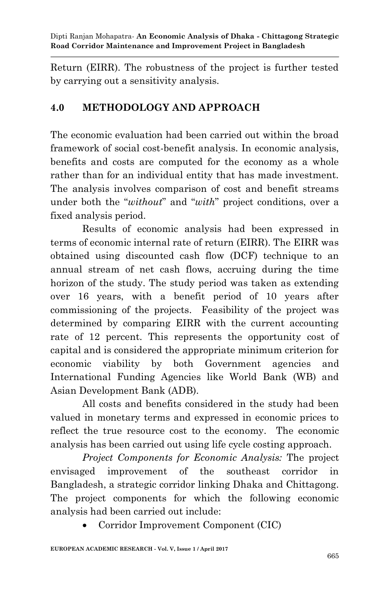Return (EIRR). The robustness of the project is further tested by carrying out a sensitivity analysis.

## **4.0 METHODOLOGY AND APPROACH**

The economic evaluation had been carried out within the broad framework of social cost-benefit analysis. In economic analysis, benefits and costs are computed for the economy as a whole rather than for an individual entity that has made investment. The analysis involves comparison of cost and benefit streams under both the "*without*" and "*with*" project conditions, over a fixed analysis period.

Results of economic analysis had been expressed in terms of economic internal rate of return (EIRR). The EIRR was obtained using discounted cash flow (DCF) technique to an annual stream of net cash flows, accruing during the time horizon of the study. The study period was taken as extending over 16 years, with a benefit period of 10 years after commissioning of the projects. Feasibility of the project was determined by comparing EIRR with the current accounting rate of 12 percent. This represents the opportunity cost of capital and is considered the appropriate minimum criterion for economic viability by both Government agencies and International Funding Agencies like World Bank (WB) and Asian Development Bank (ADB).

All costs and benefits considered in the study had been valued in monetary terms and expressed in economic prices to reflect the true resource cost to the economy. The economic analysis has been carried out using life cycle costing approach.

*Project Components for Economic Analysis:* The project envisaged improvement of the southeast corridor in Bangladesh, a strategic corridor linking Dhaka and Chittagong. The project components for which the following economic analysis had been carried out include:

Corridor Improvement Component (CIC)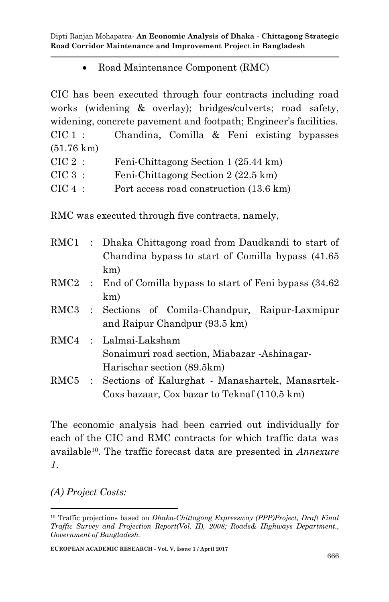• Road Maintenance Component (RMC)

CIC has been executed through four contracts including road works (widening & overlay); bridges/culverts; road safety, widening, concrete pavement and footpath; Engineer's facilities. CIC 1 : Chandina, Comilla & Feni existing bypasses (51.76 km) CIC 2 : Feni-Chittagong Section 1 (25.44 km) CIC 3 : Feni-Chittagong Section 2 (22.5 km) CIC 4 : Port access road construction (13.6 km)

RMC was executed through five contracts, namely,

|  | RMC1 : Dhaka Chittagong road from Daudkandi to start of<br>Chandina bypass to start of Comilla bypass (41.65) |
|--|---------------------------------------------------------------------------------------------------------------|
|  | km)                                                                                                           |
|  | RMC2 : End of Comilla bypass to start of Feni bypass (34.62)                                                  |
|  | km)                                                                                                           |
|  | RMC3 : Sections of Comila-Chandpur, Raipur-Laxmipur                                                           |
|  | and Raipur Chandpur (93.5 km)                                                                                 |
|  | RMC4 : Lalmai-Laksham                                                                                         |
|  | Sonaimuri road section, Miabazar -Ashinagar-                                                                  |
|  | Harischar section (89.5km)                                                                                    |
|  | RMC5 : Sections of Kalurghat - Manashartek, Manasrtek-                                                        |
|  | Coxs bazaar, Cox bazar to Teknaf (110.5 km)                                                                   |

The economic analysis had been carried out individually for each of the CIC and RMC contracts for which traffic data was available10. The traffic forecast data are presented in *Annexure 1*.

*(A) Project Costs:* 

1

<sup>10</sup> Traffic projections based on *Dhaka-Chittagong Expressway (PPP)Project, Draft Final Traffic Survey and Projection Report(Vol. II), 2008; Roads& Highways Department., Government of Bangladesh.*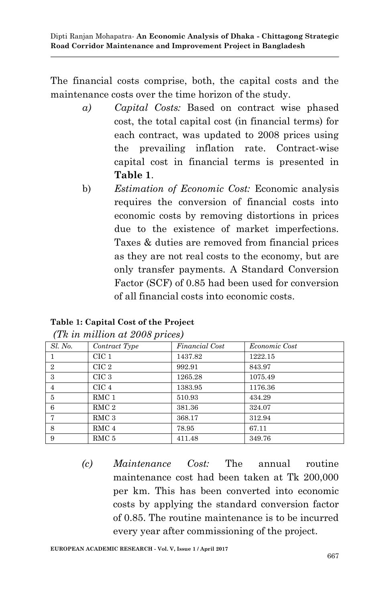The financial costs comprise, both, the capital costs and the maintenance costs over the time horizon of the study.

- *a) Capital Costs:* Based on contract wise phased cost, the total capital cost (in financial terms) for each contract, was updated to 2008 prices using the prevailing inflation rate. Contract-wise capital cost in financial terms is presented in **Table 1**.
- b) *Estimation of Economic Cost:* Economic analysis requires the conversion of financial costs into economic costs by removing distortions in prices due to the existence of market imperfections. Taxes & duties are removed from financial prices as they are not real costs to the economy, but are only transfer payments. A Standard Conversion Factor (SCF) of 0.85 had been used for conversion of all financial costs into economic costs.

### **Table 1: Capital Cost of the Project**

| Sl. No.        | Contract Type    | Financial Cost | <i>Economic Cost</i> |
|----------------|------------------|----------------|----------------------|
|                | CIC <sub>1</sub> | 1437.82        | 1222.15              |
| $\overline{2}$ | CIC 2            | 992.91         | 843.97               |
| 3              | CIC <sub>3</sub> | 1265.28        | 1075.49              |
| 4              | CIC <sub>4</sub> | 1383.95        | 1176.36              |
| 5              | RMC <sub>1</sub> | 510.93         | 434.29               |
| 6              | RMC <sub>2</sub> | 381.36         | 324.07               |
| 7              | RMC <sub>3</sub> | 368.17         | 312.94               |
| 8              | RMC <sub>4</sub> | 78.95          | 67.11                |
| 9              | RMC 5            | 411.48         | 349.76               |

*(Tk in million at 2008 prices)*

*(c) Maintenance Cost:* The annual routine maintenance cost had been taken at Tk 200,000 per km. This has been converted into economic costs by applying the standard conversion factor of 0.85. The routine maintenance is to be incurred every year after commissioning of the project.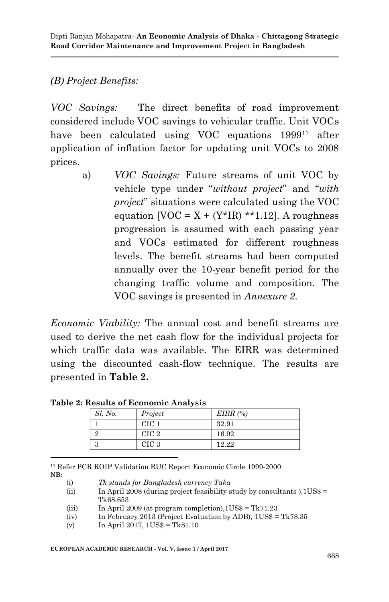## *(B) Project Benefits:*

*VOC Savings:* The direct benefits of road improvement considered include VOC savings to vehicular traffic. Unit VOCs have been calculated using VOC equations 1999<sup>11</sup> after application of inflation factor for updating unit VOCs to 2008 prices.

> a) *VOC Savings:* Future streams of unit VOC by vehicle type under "*without project*" and "*with project*" situations were calculated using the VOC equation  $[VOC = X + (Y*IR) **1.12]$ . A roughness progression is assumed with each passing year and VOCs estimated for different roughness levels. The benefit streams had been computed annually over the 10-year benefit period for the changing traffic volume and composition. The VOC savings is presented in *Annexure 2*.

*Economic Viability:* The annual cost and benefit streams are used to derive the net cash flow for the individual projects for which traffic data was available. The EIRR was determined using the discounted cash-flow technique. The results are presented in **Table 2.** 

| <i><b>Results of Economic Amarysis</b></i> |                  |            |  |  |
|--------------------------------------------|------------------|------------|--|--|
| Sl. No.                                    | Project          | $EIRR(\%)$ |  |  |
|                                            | CIC 1            | 32.91      |  |  |
|                                            | CIC <sub>2</sub> | 16.92      |  |  |
|                                            | CIC <sub>3</sub> | 12.22      |  |  |

**Table 2: Results of Economic Analysis**

1 <sup>11</sup> Refer PCR ROIP Validation RUC Report Economic Circle 1999-2000 **NB:** 

(i) *Tk stands for Bangladesh currency Taka*

(ii) In April 2008 (during project feasibility study by consultants ),  $1\text{US}\$  = Tk68.653

(iii) In April 2009 (at program completion),  $1US\$  = Tk71.23

(iv) In February 2013 (Project Evaluation by ADB),  $1\text{US}\$  = Tk78.35

(v) In April 2017,  $1\text{US}\$  = Tk81.10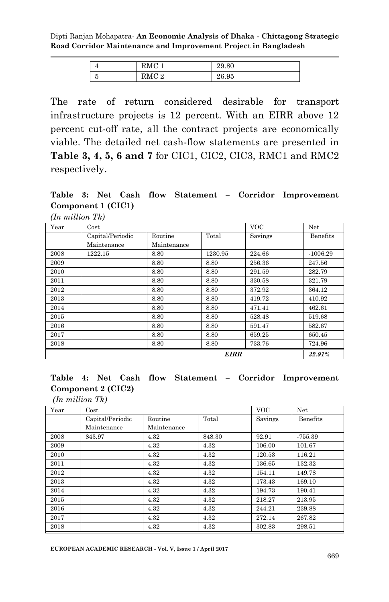| 4               | $\mathcal{O}M^{C}$     | 29.80 |
|-----------------|------------------------|-------|
| $\tilde{}$<br>ಀ | <b>DMC</b><br>$\Omega$ | 26.95 |

The rate of return considered desirable for transport infrastructure projects is 12 percent. With an EIRR above 12 percent cut-off rate, all the contract projects are economically viable. The detailed net cash-flow statements are presented in **Table 3, 4, 5, 6 and 7** for CIC1, CIC2, CIC3, RMC1 and RMC2 respectively.

**Table 3: Net Cash flow Statement – Corridor Improvement Component 1 (CIC1)** 

| (In million Tk) |  |
|-----------------|--|
|                 |  |

| Year | Cost                  |             |         | <b>VOC</b> | Net        |
|------|-----------------------|-------------|---------|------------|------------|
|      | Capital/Periodic      | Routine     | Total   | Savings    | Benefits   |
|      | Maintenance           | Maintenance |         |            |            |
| 2008 | 1222.15               | 8.80        | 1230.95 | 224.66     | $-1006.29$ |
| 2009 |                       | 8.80        | 8.80    | 256.36     | 247.56     |
| 2010 |                       | 8.80        | 8.80    | 291.59     | 282.79     |
| 2011 |                       | 8.80        | 8.80    | 330.58     | 321.79     |
| 2012 |                       | 8.80        | 8.80    | 372.92     | 364.12     |
| 2013 |                       | 8.80        | 8.80    | 419.72     | 410.92     |
| 2014 |                       | 8.80        | 8.80    | 471.41     | 462.61     |
| 2015 |                       | 8.80        | 8.80    | 528.48     | 519.68     |
| 2016 |                       | 8.80        | 8.80    | 591.47     | 582.67     |
| 2017 |                       | 8.80        | 8.80    | 659.25     | 650.45     |
| 2018 |                       | 8.80        | 8.80    | 733.76     | 724.96     |
|      | <b>EIRR</b><br>32.91% |             |         |            |            |

## **Table 4: Net Cash flow Statement – Corridor Improvement Component 2 (CIC2)**

*(In million Tk)*

| Year | $\cos t$         |             |        | VOC.    | Net       |
|------|------------------|-------------|--------|---------|-----------|
|      | Capital/Periodic | Routine     | Total  | Savings | Benefits  |
|      | Maintenance      | Maintenance |        |         |           |
| 2008 | 843.97           | 4.32        | 848.30 | 92.91   | $-755.39$ |
| 2009 |                  | 4.32        | 4.32   | 106.00  | 101.67    |
| 2010 |                  | 4.32        | 4.32   | 120.53  | 116.21    |
| 2011 |                  | 4.32        | 4.32   | 136.65  | 132.32    |
| 2012 |                  | 4.32        | 4.32   | 154.11  | 149.78    |
| 2013 |                  | 4.32        | 4.32   | 173.43  | 169.10    |
| 2014 |                  | 4.32        | 4.32   | 194.73  | 190.41    |
| 2015 |                  | 4.32        | 4.32   | 218.27  | 213.95    |
| 2016 |                  | 4.32        | 4.32   | 244.21  | 239.88    |
| 2017 |                  | 4.32        | 4.32   | 272.14  | 267.82    |
| 2018 |                  | 4.32        | 4.32   | 302.83  | 298.51    |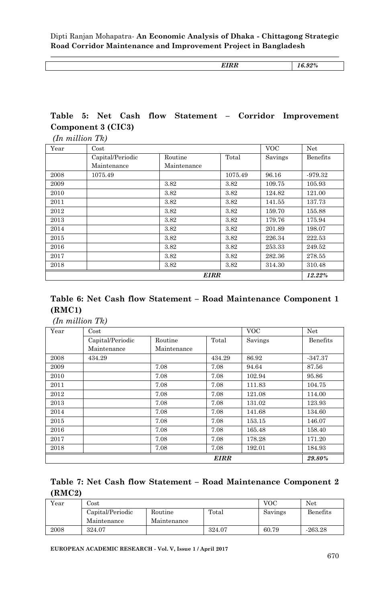*EIRR 16.92%*

#### **Table 5: Net Cash flow Statement – Corridor Improvement Component 3 (CIC3)**  *(In million Tk)*

| Year | Cost             |             |         | <b>VOC</b> | Net      |
|------|------------------|-------------|---------|------------|----------|
|      | Capital/Periodic | Routine     | Total   | Savings    | Benefits |
|      | Maintenance      | Maintenance |         |            |          |
| 2008 | 1075.49          |             | 1075.49 | 96.16      | -979.32  |
| 2009 |                  | 3.82        | 3.82    | 109.75     | 105.93   |
| 2010 |                  | 3.82        | 3.82    | 124.82     | 121.00   |
| 2011 |                  | 3.82        | 3.82    | 141.55     | 137.73   |
| 2012 |                  | 3.82        | 3.82    | 159.70     | 155.88   |
| 2013 |                  | 3.82        | 3.82    | 179.76     | 175.94   |
| 2014 |                  | 3.82        | 3.82    | 201.89     | 198.07   |
| 2015 |                  | 3.82        | 3.82    | 226.34     | 222.53   |
| 2016 |                  | 3.82        | 3.82    | 253.33     | 249.52   |
| 2017 |                  | 3.82        | 3.82    | 282.36     | 278.55   |
| 2018 |                  | 3.82        | 3.82    | 314.30     | 310.48   |
|      |                  | <b>EIRR</b> |         |            | 12.22%   |

#### **Table 6: Net Cash flow Statement – Road Maintenance Component 1 (RMC1)**

*(In million Tk)*

| Year | Cost                  |             |        | <b>VOC</b> | Net       |  |
|------|-----------------------|-------------|--------|------------|-----------|--|
|      | Capital/Periodic      | Routine     | Total  | Savings    | Benefits  |  |
|      | Maintenance           | Maintenance |        |            |           |  |
| 2008 | 434.29                |             | 434.29 | 86.92      | $-347.37$ |  |
| 2009 |                       | 7.08        | 7.08   | 94.64      | 87.56     |  |
| 2010 |                       | 7.08        | 7.08   | 102.94     | 95.86     |  |
| 2011 |                       | 7.08        | 7.08   | 111.83     | 104.75    |  |
| 2012 |                       | 7.08        | 7.08   | 121.08     | 114.00    |  |
| 2013 |                       | 7.08        | 7.08   | 131.02     | 123.93    |  |
| 2014 |                       | 7.08        | 7.08   | 141.68     | 134.60    |  |
| 2015 |                       | 7.08        | 7.08   | 153.15     | 146.07    |  |
| 2016 |                       | 7.08        | 7.08   | 165.48     | 158.40    |  |
| 2017 |                       | 7.08        | 7.08   | 178.28     | 171.20    |  |
| 2018 |                       | 7.08        | 7.08   | 192.01     | 184.93    |  |
|      | <b>EIRR</b><br>29.80% |             |        |            |           |  |

### **Table 7: Net Cash flow Statement – Road Maintenance Component 2 (RMC2)**

| Year | $_{\rm Cost}$    |             |        |         |           |
|------|------------------|-------------|--------|---------|-----------|
|      | Capital/Periodic | Routine     | Total  | Savings | Benefits  |
|      | Maintenance      | Maintenance |        |         |           |
| 2008 | 324.07           |             | 324.07 | 60.79   | $-263.28$ |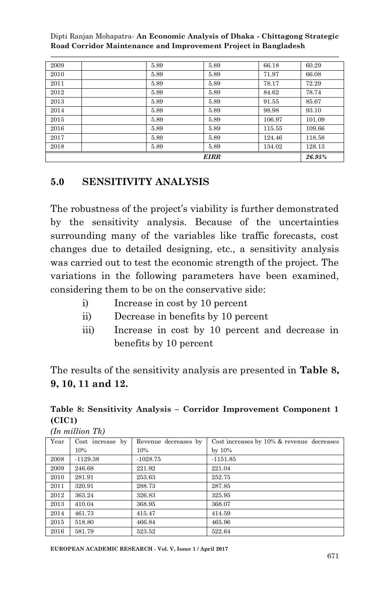|      |      | <b>EIRR</b> |        | 26.95% |
|------|------|-------------|--------|--------|
| 2018 | 5.89 | 5.89        | 134.02 | 128.13 |
| 2017 | 5.89 | 5.89        | 124.46 | 118.58 |
| 2016 | 5.89 | 5.89        | 115.55 | 109.66 |
| 2015 | 5.89 | 5.89        | 106.97 | 101.09 |
| 2014 | 5.89 | 5.89        | 98.98  | 93.10  |
| 2013 | 5.89 | 5.89        | 91.55  | 85.67  |
| 2012 | 5.89 | 5.89        | 84.62  | 78.74  |
| 2011 | 5.89 | 5.89        | 78.17  | 72.29  |
| 2010 | 5.89 | 5.89        | 71.97  | 66.08  |
| 2009 | 5.89 | 5.89        | 66.18  | 60.29  |

## **5.0 SENSITIVITY ANALYSIS**

The robustness of the project's viability is further demonstrated by the sensitivity analysis. Because of the uncertainties surrounding many of the variables like traffic forecasts, cost changes due to detailed designing, etc., a sensitivity analysis was carried out to test the economic strength of the project. The variations in the following parameters have been examined, considering them to be on the conservative side:

- i) Increase in cost by 10 percent
- ii) Decrease in benefits by 10 percent
- iii) Increase in cost by 10 percent and decrease in benefits by 10 percent

The results of the sensitivity analysis are presented in **Table 8, 9, 10, 11 and 12.**

## **Table 8: Sensitivity Analysis – Corridor Improvement Component 1 (CIC1)**

*(In million Tk)*

| Year | Cost increase by | Revenue decreases by | Cost increases by 10% & revenue decreases |
|------|------------------|----------------------|-------------------------------------------|
|      | 10%              | 10%                  | by $10\%$                                 |
| 2008 | $-1129.38$       | $-1028.75$           | $-1151.85$                                |
| 2009 | 246.68           | 221.92               | 221.04                                    |
| 2010 | 281.91           | 253.63               | 252.75                                    |
| 2011 | 320.91           | 288.73               | 287.85                                    |
| 2012 | 363.24           | 326.83               | 325.95                                    |
| 2013 | 410.04           | 368.95               | 368.07                                    |
| 2014 | 461.73           | 415.47               | 414.59                                    |
| 2015 | 518.80           | 466.84               | 465.96                                    |
| 2016 | 581.79           | 523.52               | 522.64                                    |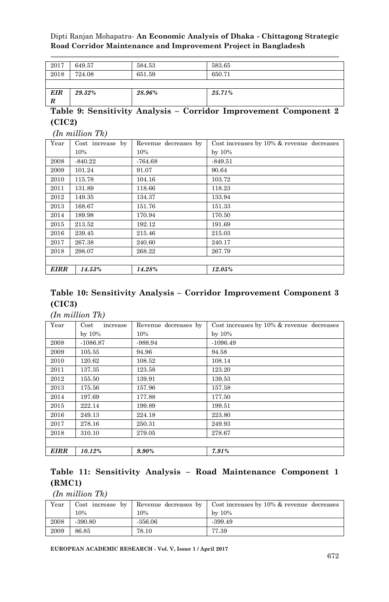| 2017            | 649.57 | 584.53 | 583.65 |
|-----------------|--------|--------|--------|
| 2018            | 724.08 | 651.59 | 650.71 |
|                 |        |        |        |
| <b>EIR</b><br>R | 29.32% | 28.96% | 25.71% |

#### **Table 9: Sensitivity Analysis – Corridor Improvement Component 2 (CIC2)**

*(In million Tk)*

| Year        | Cost increase by | Revenue decreases by | Cost increases by $10\%$ & revenue decreases |
|-------------|------------------|----------------------|----------------------------------------------|
|             | 10%              | 10%                  | by $10\%$                                    |
| 2008        | $-840.22$        | $-764.68$            | $-849.51$                                    |
| 2009        | 101.24           | 91.07                | 90.64                                        |
| 2010        | 115.78           | 104.16               | 103.72                                       |
| 2011        | 131.89           | 118.66               | 118.23                                       |
| 2012        | 149.35           | 134.37               | 133.94                                       |
| 2013        | 168.67           | 151.76               | 151.33                                       |
| 2014        | 189.98           | 170.94               | 170.50                                       |
| 2015        | 213.52           | 192.12               | 191.69                                       |
| 2016        | 239.45           | 215.46               | 215.03                                       |
| 2017        | 267.38           | 240.60               | 240.17                                       |
| 2018        | 298.07           | 268.22               | 267.79                                       |
|             |                  |                      |                                              |
| <b>EIRR</b> | 14.53%           | 14.28%               | 12.05%                                       |

## **Table 10: Sensitivity Analysis – Corridor Improvement Component 3 (CIC3)**

#### *(In million Tk)*

| Year        | Cost<br>increase | Revenue decreases by | Cost increases by $10\%$ & revenue decreases |  |  |  |  |
|-------------|------------------|----------------------|----------------------------------------------|--|--|--|--|
|             | by $10\%$        | 10%                  | by $10\%$                                    |  |  |  |  |
| 2008        | $-1086.87$       | -988.94              | $-1096.49$                                   |  |  |  |  |
| 2009        | 105.55           | 94.96                | 94.58                                        |  |  |  |  |
| 2010        | 120.62           | 108.52               | 108.14                                       |  |  |  |  |
| 2011        | 137.35           | 123.58               | 123.20                                       |  |  |  |  |
| 2012        | 155.50           | 139.91               | 139.53                                       |  |  |  |  |
| 2013        | 175.56           | 157.96               | 157.58                                       |  |  |  |  |
| 2014        | 197.69           | 177.88               | 177.50                                       |  |  |  |  |
| 2015        | 222.14           | 199.89               | 199.51                                       |  |  |  |  |
| 2016        | 249.13           | 224.18               | 223.80                                       |  |  |  |  |
| 2017        | 278.16           | 250.31               | 249.93                                       |  |  |  |  |
| 2018        | 310.10           | 279.05               | 278.67                                       |  |  |  |  |
|             |                  |                      |                                              |  |  |  |  |
| <b>EIRR</b> | 10.12%           | $9.90\%$             | 7.91%                                        |  |  |  |  |

#### **Table 11: Sensitivity Analysis – Road Maintenance Component 1 (RMC1)**

*(In million Tk)*

| Year | Cost increase by | Revenue decreases by | Cost increases by 10% & revenue decreases |
|------|------------------|----------------------|-------------------------------------------|
|      | 10%              | 10%                  | $bv$ 10%                                  |
| 2008 | $-390.80$        | $-356.06$            | -399.49                                   |
| 2009 | 86.85            | 78.10                | 77.39                                     |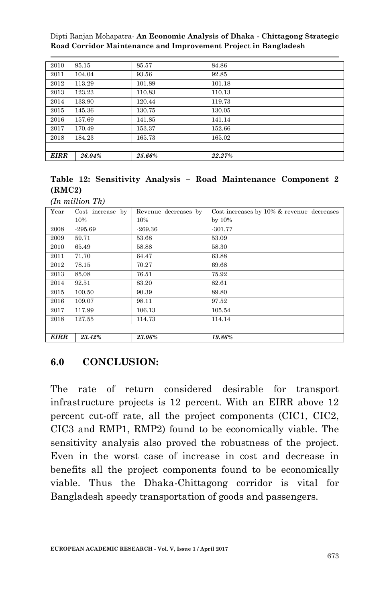| 2010        | 95.15  | 85.57  | 84.86  |
|-------------|--------|--------|--------|
| 2011        | 104.04 | 93.56  | 92.85  |
| 2012        | 113.29 | 101.89 | 101.18 |
| 2013        | 123.23 | 110.83 | 110.13 |
| 2014        | 133.90 | 120.44 | 119.73 |
| 2015        | 145.36 | 130.75 | 130.05 |
| 2016        | 157.69 | 141.85 | 141.14 |
| 2017        | 170.49 | 153.37 | 152.66 |
| 2018        | 184.23 | 165.73 | 165.02 |
|             |        |        |        |
| <b>EIRR</b> | 26.04% | 25.66% | 22.27% |

## **Table 12: Sensitivity Analysis – Road Maintenance Component 2 (RMC2)**

|      | $(In$ million $Tk)$ |                      |                                           |
|------|---------------------|----------------------|-------------------------------------------|
| Year | Cost increase by    | Revenue decreases by | Cost increases by 10% & revenue decreases |
|      | 10%                 | 10%                  | by $10\%$                                 |
| 2008 | $-295.69$           | $-269.36$            | $-301.77$                                 |
| 2009 | 59.71               | 53.68                | 53.09                                     |
| 2010 | 65.49               | 58.88                | 58.30                                     |
| 2011 | 71.70               | 64.47                | 63.88                                     |
| 2012 | 78.15               | 70.27                | 69.68                                     |
| 2013 | 85.08               | 76.51                | 75.92                                     |
| 2014 | 92.51               | 83.20                | 82.61                                     |
| 2015 | 100.50              | 90.39                | 89.80                                     |
| 2016 | 109.07              | 98.11                | 97.52                                     |
| 2017 | 117.99              | 106.13               | 105.54                                    |
| 2018 | 127.55              | 114.73               | 114.14                                    |
|      |                     |                      |                                           |
| EIRR | 23.42%              | 23.06%               | 19.86%                                    |

## **6.0 CONCLUSION:**

The rate of return considered desirable for transport infrastructure projects is 12 percent. With an EIRR above 12 percent cut-off rate, all the project components (CIC1, CIC2, CIC3 and RMP1, RMP2) found to be economically viable. The sensitivity analysis also proved the robustness of the project. Even in the worst case of increase in cost and decrease in benefits all the project components found to be economically viable. Thus the Dhaka-Chittagong corridor is vital for Bangladesh speedy transportation of goods and passengers.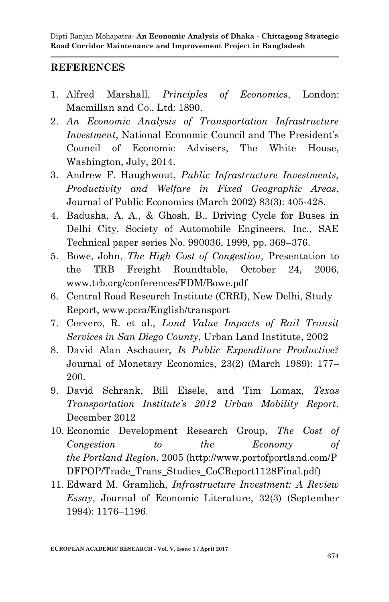## **REFERENCES**

- 1. Alfred Marshall, *Principles of Economics*, London: Macmillan and Co., Ltd: 1890.
- 2. *An Economic Analysis of Transportation Infrastructure Investment*, National Economic Council and The President's Council of Economic Advisers, The White House, Washington, July, 2014.
- 3. Andrew F. Haughwout, *Public Infrastructure Investments, Productivity and Welfare in Fixed Geographic Areas*, Journal of Public Economics (March 2002) 83(3): 405-428.
- 4. Badusha, A. A., & Ghosh, B., Driving Cycle for Buses in Delhi City. Society of Automobile Engineers, Inc., SAE Technical paper series No. 990036, 1999, pp. 369–376.
- 5. Bowe, John, *The High Cost of Congestion,* Presentation to the TRB Freight Roundtable, October 24, 2006, www.trb.org/conferences/FDM/Bowe.pdf
- 6. Central Road Research Institute (CRRI), New Delhi, Study Report, www.pcra/English/transport
- 7. Cervero, R. et al., *Land Value Impacts of Rail Transit Services in San Diego County*, Urban Land Institute, 2002
- 8. David Alan Aschauer, *Is Public Expenditure Productive?* Journal of Monetary Economics, 23(2) (March 1989): 177– 200.
- 9. David Schrank, Bill Eisele, and Tim Lomax, *Texas Transportation Institute's 2012 Urban Mobility Report*, December 2012
- 10. Economic Development Research Group, *The Cost of Congestion to the Economy of the Portland Region*, 2005 (http://www.portofportland.com/P DFPOP/Trade Trans Studies CoCReport1128Final.pdf)
- 11. Edward M. Gramlich, *Infrastructure Investment: A Review Essay*, Journal of Economic Literature, 32(3) (September 1994): 1176–1196.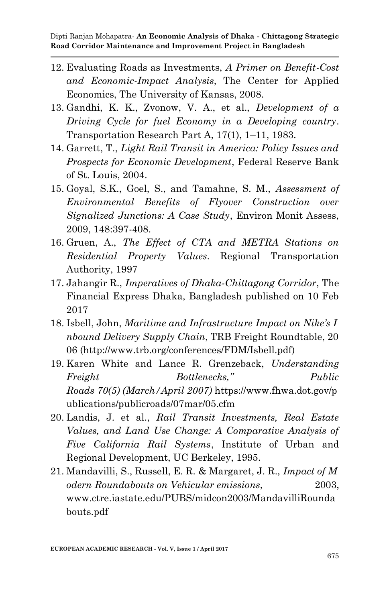- 12. Evaluating Roads as Investments, *A Primer on Benefit-Cost and Economic-Impact Analysis*, The Center for Applied Economics, The University of Kansas, 2008.
- 13. Gandhi, K. K., Zvonow, V. A., et al., *Development of a Driving Cycle for fuel Economy in a Developing country*. Transportation Research Part A, 17(1), 1–11, 1983.
- 14. Garrett, T., *Light Rail Transit in America: Policy Issues and Prospects for Economic Development*, Federal Reserve Bank of St. Louis, 2004.
- 15. Goyal, S.K., Goel, S., and Tamahne, S. M., *Assessment of Environmental Benefits of Flyover Construction over Signalized Junctions: A Case Study*, Environ Monit Assess, 2009, 148:397-408.
- 16. Gruen, A., *The Effect of CTA and METRA Stations on Residential Property Values*. Regional Transportation Authority, 1997
- 17. Jahangir R., *Imperatives of Dhaka-Chittagong Corridor*, The Financial Express Dhaka, Bangladesh published on 10 Feb 2017
- 18. Isbell, John, *Maritime and Infrastructure Impact on Nike's I nbound Delivery Supply Chain*, TRB Freight Roundtable, 20 06 (http://www.trb.org/conferences/FDM/Isbell.pdf)
- 19. Karen White and Lance R. Grenzeback, *Understanding Freight Bottlenecks," Public Roads 70(5) (March/April 2007)* https://www.fhwa.dot.gov/p ublications/publicroads/07mar/05.cfm
- 20. Landis, J. et al., *Rail Transit Investments, Real Estate Values, and Land Use Change: A Comparative Analysis of Five California Rail Systems*, Institute of Urban and Regional Development, UC Berkeley, 1995.
- 21. Mandavilli, S., Russell, E. R. & Margaret, J. R., *Impact of M odern Roundabouts on Vehicular emissions*, 2003, www.ctre.iastate.edu/PUBS/midcon2003/MandavilliRounda bouts.pdf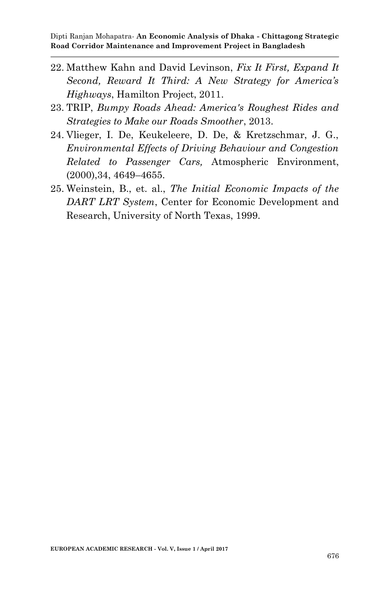- 22. Matthew Kahn and David Levinson, *Fix It First, Expand It Second, Reward It Third: A New Strategy for America's Highways*, Hamilton Project, 2011.
- 23. TRIP, *Bumpy Roads Ahead: America's Roughest Rides and Strategies to Make our Roads Smoother*, 2013.
- 24. Vlieger, I. De, Keukeleere, D. De, & Kretzschmar, J. G., *Environmental Effects of Driving Behaviour and Congestion Related to Passenger Cars,* Atmospheric Environment, (2000),34, 4649–4655.
- 25. Weinstein, B., et. al., *The Initial Economic Impacts of the DART LRT System*, Center for Economic Development and Research, University of North Texas, 1999.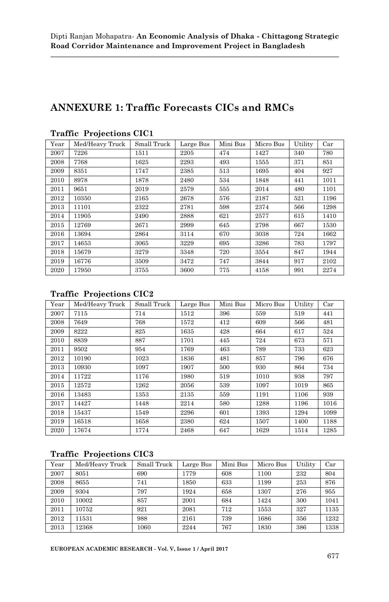## **ANNEXURE 1: Traffic Forecasts CICs and RMCs**

| Year | Med/Heavy Truck | Small Truck | Large Bus | Mini Bus | Micro Bus | Utility | Car  |
|------|-----------------|-------------|-----------|----------|-----------|---------|------|
| 2007 | 7226            | 1511        | 2205      | 474      | 1427      | 340     | 780  |
| 2008 | 7768            | 1625        | 2293      | 493      | 1555      | 371     | 851  |
| 2009 | 8351            | 1747        | 2385      | 513      | 1695      | 404     | 927  |
| 2010 | 8978            | 1878        | 2480      | 534      | 1848      | 441     | 1011 |
| 2011 | 9651            | 2019        | 2579      | 555      | 2014      | 480     | 1101 |
| 2012 | 10350           | 2165        | 2678      | 576      | 2187      | 521     | 1196 |
| 2013 | 11101           | 2322        | 2781      | 598      | 2374      | 566     | 1298 |
| 2014 | 11905           | 2490        | 2888      | 621      | 2577      | 615     | 1410 |
| 2015 | 12769           | 2671        | 2999      | 645      | 2798      | 667     | 1530 |
| 2016 | 13694           | 2864        | 3114      | 670      | 3038      | 724     | 1662 |
| 2017 | 14653           | 3065        | 3229      | 695      | 3286      | 783     | 1797 |
| 2018 | 15679           | 3279        | 3348      | 720      | 3554      | 847     | 1944 |
| 2019 | 16776           | 3509        | 3472      | 747      | 3844      | 917     | 2102 |
| 2020 | 17950           | 3755        | 3600      | 775      | 4158      | 991     | 2274 |

#### **Traffic Projections CIC1**

#### **Traffic Projections CIC2**

| Year | Med/Heavy Truck | Small Truck | Large Bus | Mini Bus | Micro Bus | Utility | Car  |
|------|-----------------|-------------|-----------|----------|-----------|---------|------|
| 2007 | 7115            | 714         | 1512      | 396      | 559       | 519     | 441  |
| 2008 | 7649            | 768         | 1572      | 412      | 609       | 566     | 481  |
| 2009 | 8222            | 825         | 1635      | 428      | 664       | 617     | 524  |
| 2010 | 8839            | 887         | 1701      | 445      | 724       | 673     | 571  |
| 2011 | 9502            | 954         | 1769      | 463      | 789       | 733     | 623  |
| 2012 | 10190           | 1023        | 1836      | 481      | 857       | 796     | 676  |
| 2013 | 10930           | 1097        | 1907      | 500      | 930       | 864     | 734  |
| 2014 | 11722           | 1176        | 1980      | 519      | 1010      | 938     | 797  |
| 2015 | 12572           | 1262        | 2056      | 539      | 1097      | 1019    | 865  |
| 2016 | 13483           | 1353        | 2135      | 559      | 1191      | 1106    | 939  |
| 2017 | 14427           | 1448        | 2214      | 580      | 1288      | 1196    | 1016 |
| 2018 | 15437           | 1549        | 2296      | 601      | 1393      | 1294    | 1099 |
| 2019 | 16518           | 1658        | 2380      | 624      | 1507      | 1400    | 1188 |
| 2020 | 17674           | 1774        | 2468      | 647      | 1629      | 1514    | 1285 |

#### **Traffic Projections CIC3**

| Year | Med/Heavy Truck | Small Truck | Large Bus | Mini Bus | Micro Bus | Utility | Car  |
|------|-----------------|-------------|-----------|----------|-----------|---------|------|
| 2007 | 8051            | 690         | 1779      | 608      | 1100      | 232     | 804  |
| 2008 | 8655            | 741         | 1850      | 633      | 1199      | 253     | 876  |
| 2009 | 9304            | 797         | 1924      | 658      | 1307      | 276     | 955  |
| 2010 | 10002           | 857         | 2001      | 684      | 1424      | 300     | 1041 |
| 2011 | 10752           | 921         | 2081      | 712      | 1553      | 327     | 1135 |
| 2012 | 11531           | 988         | 2161      | 739      | 1686      | 356     | 1232 |
| 2013 | 12368           | 1060        | 2244      | 767      | 1830      | 386     | 1338 |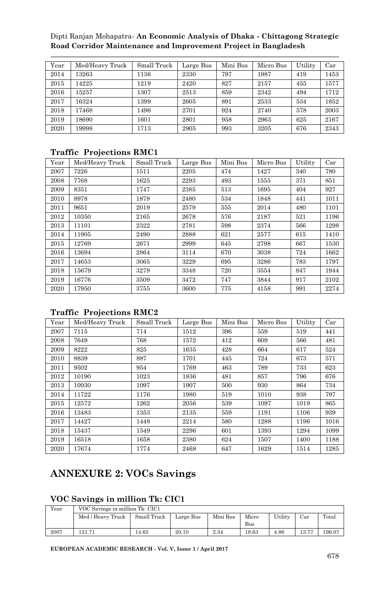| Year | Med/Heavy Truck | Small Truck | Large Bus | Mini Bus | Micro Bus | Utility | Car  |
|------|-----------------|-------------|-----------|----------|-----------|---------|------|
| 2014 | 13263           | 1136        | 2330      | 797      | 1987      | 419     | 1453 |
| 2015 | 14225           | 1219        | 2420      | 827      | 2157      | 455     | 1577 |
| 2016 | 15257           | 1307        | 2513      | 859      | 2342      | 494     | 1712 |
| 2017 | 16324           | 1399        | 2605      | 891      | 2533      | 534     | 1852 |
| 2018 | 17468           | 1496        | 2701      | 924      | 2740      | 578     | 2003 |
| 2019 | 18690           | 1601        | 2801      | 958      | 2963      | 625     | 2167 |
| 2020 | 19998           | 1713        | 2905      | 993      | 3205      | 676     | 2343 |

#### **Traffic Projections RMC1**

| Year | Med/Heavy Truck | Small Truck | Large Bus | Mini Bus | Micro Bus | Utility | Car  |
|------|-----------------|-------------|-----------|----------|-----------|---------|------|
| 2007 | 7226            | 1511        | 2205      | 474      | 1427      | 340     | 780  |
| 2008 | 7768            | 1625        | 2293      | 493      | 1555      | 371     | 851  |
| 2009 | 8351            | 1747        | 2385      | 513      | 1695      | 404     | 927  |
| 2010 | 8978            | 1878        | 2480      | 534      | 1848      | 441     | 1011 |
| 2011 | 9651            | 2019        | 2579      | 555      | 2014      | 480     | 1101 |
| 2012 | 10350           | 2165        | 2678      | 576      | 2187      | 521     | 1196 |
| 2013 | 11101           | 2322        | 2781      | 598      | 2374      | 566     | 1298 |
| 2014 | 11905           | 2490        | 2888      | 621      | 2577      | 615     | 1410 |
| 2015 | 12769           | 2671        | 2999      | 645      | 2798      | 667     | 1530 |
| 2016 | 13694           | 2864        | 3114      | 670      | 3038      | 724     | 1662 |
| 2017 | 14653           | 3065        | 3229      | 695      | 3286      | 783     | 1797 |
| 2018 | 15679           | 3279        | 3348      | 720      | 3554      | 847     | 1944 |
| 2019 | 16776           | 3509        | 3472      | 747      | 3844      | 917     | 2102 |
| 2020 | 17950           | 3755        | 3600      | 775      | 4158      | 991     | 2274 |

#### **Traffic Projections RMC2**

| Year | Med/Heavy Truck | Small Truck | Large Bus | Mini Bus | Micro Bus | Utility | Car  |
|------|-----------------|-------------|-----------|----------|-----------|---------|------|
| 2007 | 7115            | 714         | 1512      | 396      | 559       | 519     | 441  |
| 2008 | 7649            | 768         | 1572      | 412      | 609       | 566     | 481  |
| 2009 | 8222            | 825         | 1635      | 428      | 664       | 617     | 524  |
| 2010 | 8839            | 887         | 1701      | 445      | 724       | 673     | 571  |
| 2011 | 9502            | 954         | 1769      | 463      | 789       | 733     | 623  |
| 2012 | 10190           | 1023        | 1836      | 481      | 857       | 796     | 676  |
| 2013 | 10930           | 1097        | 1907      | 500      | 930       | 864     | 734  |
| 2014 | 11722           | 1176        | 1980      | 519      | 1010      | 938     | 797  |
| 2015 | 12572           | 1262        | 2056      | 539      | 1097      | 1019    | 865  |
| 2016 | 13483           | 1353        | 2135      | 559      | 1191      | 1106    | 939  |
| 2017 | 14427           | 1448        | 2214      | 580      | 1288      | 1196    | 1016 |
| 2018 | 15437           | 1549        | 2296      | 601      | 1393      | 1294    | 1099 |
| 2019 | 16518           | 1658        | 2380      | 624      | 1507      | 1400    | 1188 |
| 2020 | 17674           | 1774        | 2468      | 647      | 1629      | 1514    | 1285 |

## **ANNEXURE 2: VOCs Savings**

#### **VOC Savings in million Tk: CIC1**

| Year | VOC Savings in million Tk: CIC1 |             |           |          |       |         |       |        |
|------|---------------------------------|-------------|-----------|----------|-------|---------|-------|--------|
|      | Med / Heavy Truck               | Small Truck | Large Bus | Mini Bus | Micro | Utility | Car   | Total  |
|      |                                 |             |           |          | Bus   |         |       |        |
| 2007 | 121.71                          | 4.65        | 20.10     | 2.34     | 18.63 | 4.86    | 13.77 | 196.07 |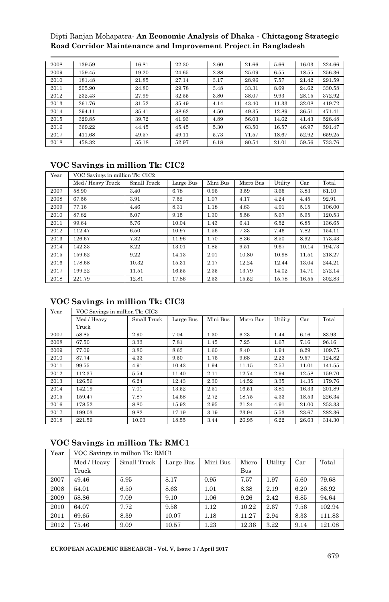|      | 139.59 |       |       |      |       |       |       |        |
|------|--------|-------|-------|------|-------|-------|-------|--------|
| 2008 |        | 16.81 | 22.30 | 2.60 | 21.66 | 5.66  | 16.03 | 224.66 |
| 2009 | 159.45 | 19.20 | 24.65 | 2.88 | 25.09 | 6.55  | 18.55 | 256.36 |
| 2010 | 181.48 | 21.85 | 27.14 | 3.17 | 28.96 | 7.57  | 21.42 | 291.59 |
| 2011 | 205.90 | 24.80 | 29.78 | 3.48 | 33.31 | 8.69  | 24.62 | 330.58 |
| 2012 | 232.43 | 27.99 | 32.55 | 3.80 | 38.07 | 9.93  | 28.15 | 372.92 |
| 2013 | 261.76 | 31.52 | 35.49 | 4.14 | 43.40 | 11.33 | 32.08 | 419.72 |
| 2014 | 294.11 | 35.41 | 38.62 | 4.50 | 49.35 | 12.89 | 36.51 | 471.41 |
| 2015 | 329.85 | 39.72 | 41.93 | 4.89 | 56.03 | 14.62 | 41.43 | 528.48 |
| 2016 | 369.22 | 44.45 | 45.45 | 5.30 | 63.50 | 16.57 | 46.97 | 591.47 |
| 2017 | 411.68 | 49.57 | 49.11 | 5.73 | 71.57 | 18.67 | 52.92 | 659.25 |
| 2018 | 458.32 | 55.18 | 52.97 | 6.18 | 80.54 | 21.01 | 59.56 | 733.76 |

#### **VOC Savings in million Tk: CIC2**

| Year | VOC Savings in million Tk: CIC2 |             |           |          |           |         |       |        |
|------|---------------------------------|-------------|-----------|----------|-----------|---------|-------|--------|
|      | Med / Heavy Truck               | Small Truck | Large Bus | Mini Bus | Micro Bus | Utility | Car   | Total  |
| 2007 | 58.90                           | 3.40        | 6.78      | 0.96     | 3.59      | 3.65    | 3.83  | 81.10  |
| 2008 | 67.56                           | 3.91        | 7.52      | 1.07     | 4.17      | 4.24    | 4.45  | 92.91  |
| 2009 | 77.16                           | 4.46        | 8.31      | 1.18     | 4.83      | 4.91    | 5.15  | 106.00 |
| 2010 | 87.82                           | 5.07        | 9.15      | 1.30     | 5.58      | 5.67    | 5.95  | 120.53 |
| 2011 | 99.64                           | 5.76        | 10.04     | 1.43     | 6.41      | 6.52    | 6.85  | 136.65 |
| 2012 | 112.47                          | 6.50        | 10.97     | 1.56     | 7.33      | 7.46    | 7.82  | 154.11 |
| 2013 | 126.67                          | 7.32        | 11.96     | 1.70     | 8.36      | 8.50    | 8.92  | 173.43 |
| 2014 | 142.33                          | 8.22        | 13.01     | 1.85     | 9.51      | 9.67    | 10.14 | 194.73 |
| 2015 | 159.62                          | 9.22        | 14.13     | 2.01     | 10.80     | 10.98   | 11.51 | 218.27 |
| 2016 | 178.68                          | 10.32       | 15.31     | 2.17     | 12.24     | 12.44   | 13.04 | 244.21 |
| 2017 | 199.22                          | 11.51       | 16.55     | 2.35     | 13.79     | 14.02   | 14.71 | 272.14 |
| 2018 | 221.79                          | 12.81       | 17.86     | 2.53     | 15.52     | 15.78   | 16.55 | 302.83 |

### **VOC Savings in million Tk: CIC3**

| Year | VOC Savings in million Tk: CIC3 |             |           |          |           |         |       |        |  |
|------|---------------------------------|-------------|-----------|----------|-----------|---------|-------|--------|--|
|      | Med / Heavy                     | Small Truck | Large Bus | Mini Bus | Micro Bus | Utility | Car   | Total  |  |
|      | Truck                           |             |           |          |           |         |       |        |  |
| 2007 | 58.85                           | 2.90        | 7.04      | 1.30     | 6.23      | 1.44    | 6.16  | 83.93  |  |
| 2008 | 67.50                           | 3.33        | 7.81      | 1.45     | 7.25      | 1.67    | 7.16  | 96.16  |  |
| 2009 | 77.09                           | 3.80        | 8.63      | 1.60     | 8.40      | 1.94    | 8.29  | 109.75 |  |
| 2010 | 87.74                           | 4.33        | 9.50      | 1.76     | 9.68      | 2.23    | 9.57  | 124.82 |  |
| 2011 | 99.55                           | 4.91        | 10.43     | 1.94     | 11.15     | 2.57    | 11.01 | 141.55 |  |
| 2012 | 112.37                          | 5.54        | 11.40     | 2.11     | 12.74     | 2.94    | 12.58 | 159.70 |  |
| 2013 | 126.56                          | 6.24        | 12.43     | 2.30     | 14.52     | 3.35    | 14.35 | 179.76 |  |
| 2014 | 142.19                          | 7.01        | 13.52     | 2.51     | 16.51     | 3.81    | 16.33 | 201.89 |  |
| 2015 | 159.47                          | 7.87        | 14.68     | 2.72     | 18.75     | 4.33    | 18.53 | 226.34 |  |
| 2016 | 178.52                          | 8.80        | 15.92     | 2.95     | 21.24     | 4.91    | 21.00 | 253.33 |  |
| 2017 | 199.03                          | 9.82        | 17.19     | 3.19     | 23.94     | 5.53    | 23.67 | 282.36 |  |
| 2018 | 221.59                          | 10.93       | 18.55     | 3.44     | 26.95     | 6.22    | 26.63 | 314.30 |  |

### **VOC Savings in million Tk: RMC1**

| Year | VOC Savings in million Tk: RMC1 |             |           |          |       |         |      |        |
|------|---------------------------------|-------------|-----------|----------|-------|---------|------|--------|
|      | Med / Heavy                     | Small Truck | Large Bus | Mini Bus | Micro | Utility | Car  | Total  |
|      | Truck                           |             |           |          | Bus   |         |      |        |
| 2007 | 49.46                           | 5.95        | 8.17      | 0.95     | 7.57  | 1.97    | 5.60 | 79.68  |
| 2008 | 54.01                           | 6.50        | 8.63      | 1.01     | 8.38  | 2.19    | 6.20 | 86.92  |
| 2009 | 58.86                           | 7.09        | 9.10      | 1.06     | 9.26  | 2.42    | 6.85 | 94.64  |
| 2010 | 64.07                           | 7.72        | 9.58      | 1.12     | 10.22 | 2.67    | 7.56 | 102.94 |
| 2011 | 69.65                           | 8.39        | 10.07     | 1.18     | 11.27 | 2.94    | 8.33 | 111.83 |
| 2012 | 75.46                           | 9.09        | 10.57     | 1.23     | 12.36 | 3.22    | 9.14 | 121.08 |